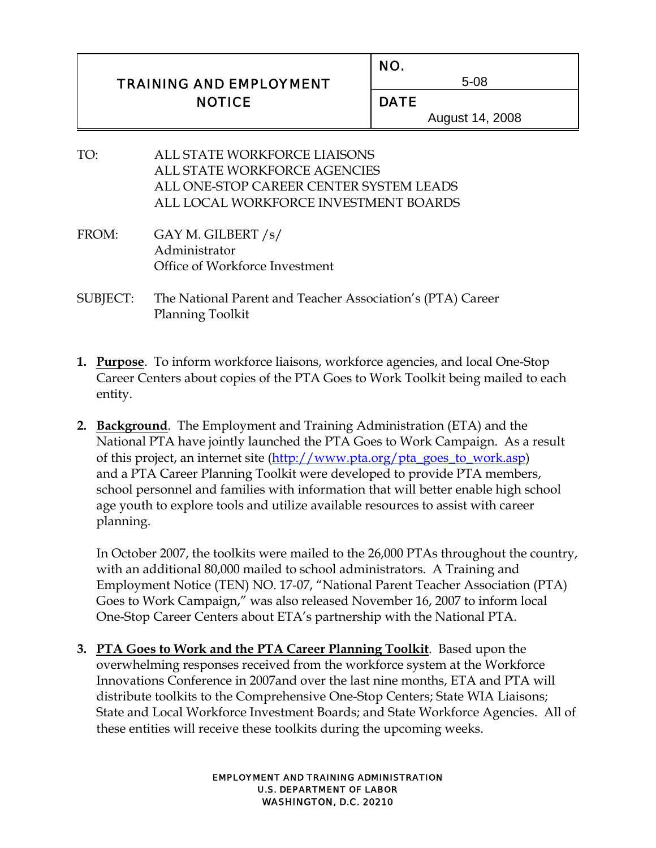|                                | NO.             |
|--------------------------------|-----------------|
| <b>TRAINING AND EMPLOYMENT</b> | 5-08            |
| <b>NOTICE</b>                  | <b>DATE</b>     |
|                                | August 14, 2008 |

- TO: ALL STATE WORKFORCE LIAISONS ALL STATE WORKFORCE AGENCIES ALL ONE-STOP CAREER CENTER SYSTEM LEADS ALL LOCAL WORKFORCE INVESTMENT BOARDS
- FROM: GAY M. GILBERT /s/ Administrator Office of Workforce Investment

 $\overline{a}$ 

- SUBJECT: The National Parent and Teacher Association's (PTA) Career Planning Toolkit
- **1. Purpose**. To inform workforce liaisons, workforce agencies, and local One-Stop Career Centers about copies of the PTA Goes to Work Toolkit being mailed to each entity.
- **2. Background**. The Employment and Training Administration (ETA) and the National PTA have jointly launched the PTA Goes to Work Campaign. As a result of this project, an internet site (http://www.pta.org/pta\_goes\_to\_work.asp) and a PTA Career Planning Toolkit were developed to provide PTA members, school personnel and families with information that will better enable high school age youth to explore tools and utilize available resources to assist with career planning.

In October 2007, the toolkits were mailed to the 26,000 PTAs throughout the country, with an additional 80,000 mailed to school administrators. A Training and Employment Notice (TEN) NO. 17-07, "National Parent Teacher Association (PTA) Goes to Work Campaign," was also released November 16, 2007 to inform local One-Stop Career Centers about ETA's partnership with the National PTA.

**3. PTA Goes to Work and the PTA Career Planning Toolkit**. Based upon the overwhelming responses received from the workforce system at the Workforce Innovations Conference in 2007and over the last nine months, ETA and PTA will distribute toolkits to the Comprehensive One-Stop Centers; State WIA Liaisons; State and Local Workforce Investment Boards; and State Workforce Agencies. All of these entities will receive these toolkits during the upcoming weeks.

> EMPLOYMENT AND TRAINING ADMINISTRATION U.S. DEPARTMENT OF LABOR WASHINGTON, D.C. 20210